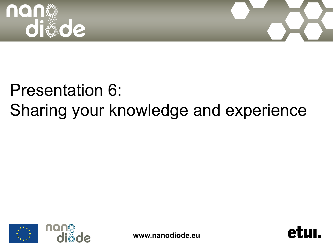



## Presentation 6: Sharing your knowledge and experience



**www.nanodiode.eu** 

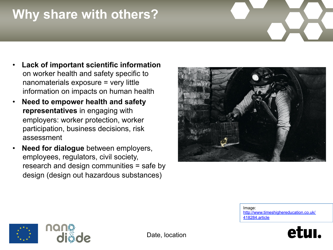## **Why share with others?**

- **Lack of important scientific information**  on worker health and safety specific to nanomaterials exposure = very little information on impacts on human health
- **Need to empower health and safety representatives** in engaging with employers: worker protection, worker participation, business decisions, risk assessment
- **Need for dialogue** between employers, employees, regulators, civil society, research and design communities = safe by design (design out hazardous substances)



Image: http://www.timeshighereducation.co.uk/ 418284.article



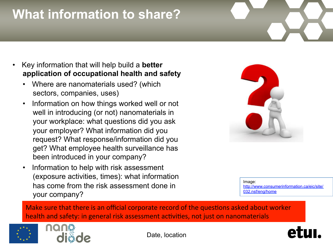## **What information to share?**

- Key information that will help build a **better application of occupational health and safety** 
	- Where are nanomaterials used? (which sectors, companies, uses)
	- Information on how things worked well or not well in introducing (or not) nanomaterials in your workplace: what questions did you ask your employer? What information did you request? What response/information did you get? What employee health surveillance has been introduced in your company?
	- Information to help with risk assessment (exposure activities, times): what information has come from the risk assessment done in your company?



Image: http://www.consumerinformation.ca/eic/site/ 032.nsf/eng/home

Make sure that there is an official corporate record of the questions asked about worker health and safety: in general risk assessment activities, not just on nanomaterials





Date, location